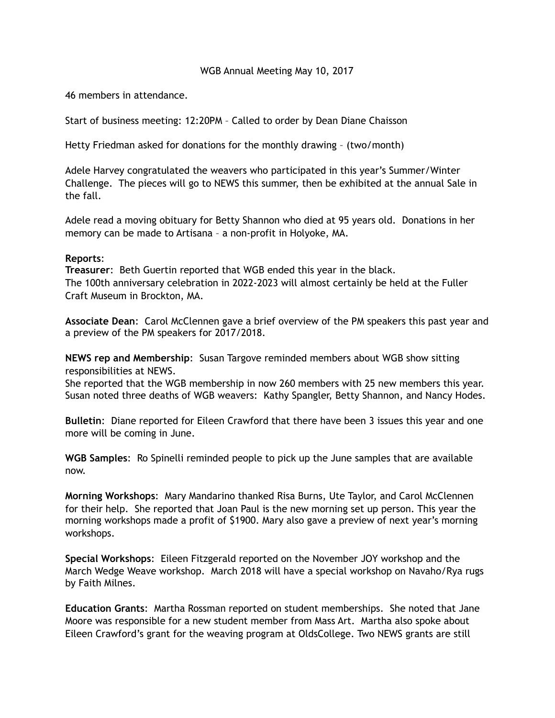## WGB Annual Meeting May 10, 2017

46 members in attendance.

Start of business meeting: 12:20PM – Called to order by Dean Diane Chaisson

Hetty Friedman asked for donations for the monthly drawing – (two/month)

Adele Harvey congratulated the weavers who participated in this year's Summer/Winter Challenge. The pieces will go to NEWS this summer, then be exhibited at the annual Sale in the fall.

Adele read a moving obituary for Betty Shannon who died at 95 years old. Donations in her memory can be made to Artisana – a non-profit in Holyoke, MA.

## **Reports**:

**Treasurer**: Beth Guertin reported that WGB ended this year in the black. The 100th anniversary celebration in 2022-2023 will almost certainly be held at the Fuller Craft Museum in Brockton, MA.

**Associate Dean**: Carol McClennen gave a brief overview of the PM speakers this past year and a preview of the PM speakers for 2017/2018.

**NEWS rep and Membership**: Susan Targove reminded members about WGB show sitting responsibilities at NEWS.

She reported that the WGB membership in now 260 members with 25 new members this year. Susan noted three deaths of WGB weavers: Kathy Spangler, Betty Shannon, and Nancy Hodes.

**Bulletin**: Diane reported for Eileen Crawford that there have been 3 issues this year and one more will be coming in June.

**WGB Samples**: Ro Spinelli reminded people to pick up the June samples that are available now.

**Morning Workshops**: Mary Mandarino thanked Risa Burns, Ute Taylor, and Carol McClennen for their help. She reported that Joan Paul is the new morning set up person. This year the morning workshops made a profit of \$1900. Mary also gave a preview of next year's morning workshops.

**Special Workshops**: Eileen Fitzgerald reported on the November JOY workshop and the March Wedge Weave workshop. March 2018 will have a special workshop on Navaho/Rya rugs by Faith Milnes.

**Education Grants**: Martha Rossman reported on student memberships. She noted that Jane Moore was responsible for a new student member from Mass Art. Martha also spoke about Eileen Crawford's grant for the weaving program at OldsCollege. Two NEWS grants are still